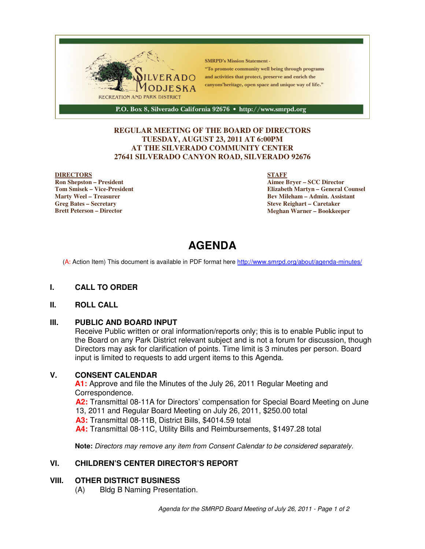

#### **REGULAR MEETING OF THE BOARD OF DIRECTORS TUESDAY, AUGUST 23, 2011 AT 6:00PM AT THE SILVERADO COMMUNITY CENTER 27641 SILVERADO CANYON ROAD, SILVERADO 92676**

#### **DIRECTORS**

**Ron Shepston – President Tom Smisek – Vice-President Marty Weel – Treasurer Greg Bates – Secretary Brett Peterson – Director**

#### **STAFF**

**Aimee Bryer – SCC Director Elizabeth Martyn – General Counsel Bev Mileham – Admin. Assistant Steve Reighart – Caretaker Meghan Warner – Bookkeeper**

# **AGENDA**

(A: Action Item) This document is available in PDF format here http://www.smrpd.org/about/agenda-minutes/

#### **I. CALL TO ORDER**

#### **II. ROLL CALL**

#### **III. PUBLIC AND BOARD INPUT**

Receive Public written or oral information/reports only; this is to enable Public input to the Board on any Park District relevant subject and is not a forum for discussion, though Directors may ask for clarification of points. Time limit is 3 minutes per person. Board input is limited to requests to add urgent items to this Agenda.

#### **V. CONSENT CALENDAR**

**A1:** Approve and file the Minutes of the July 26, 2011 Regular Meeting and Correspondence.

**A2:** Transmittal 08-11A for Directors' compensation for Special Board Meeting on June 13, 2011 and Regular Board Meeting on July 26, 2011, \$250.00 total **A3:** Transmittal 08-11B, District Bills, \$4014.59 total **A4:** Transmittal 08-11C, Utility Bills and Reimbursements, \$1497.28 total

**Note:** Directors may remove any item from Consent Calendar to be considered separately.

#### **VI. CHILDREN'S CENTER DIRECTOR'S REPORT**

#### **VIII. OTHER DISTRICT BUSINESS**

(A) Bldg B Naming Presentation.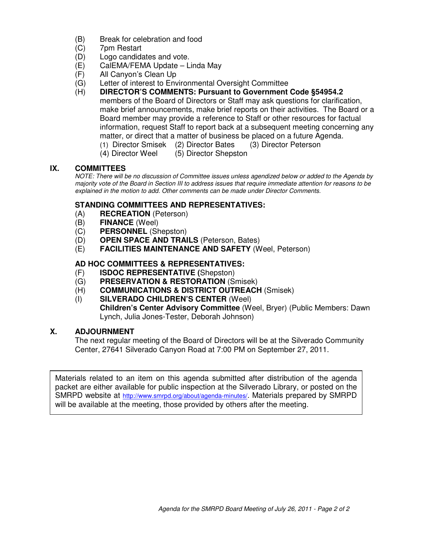- (B) Break for celebration and food
- (C) 7pm Restart
- (D) Logo candidates and vote.
- (E) CalEMA/FEMA Update Linda May
- (F) All Canyon's Clean Up
- (G) Letter of interest to Environmental Oversight Committee
- (H) **DIRECTOR'S COMMENTS: Pursuant to Government Code §54954.2** members of the Board of Directors or Staff may ask questions for clarification, make brief announcements, make brief reports on their activities. The Board or a Board member may provide a reference to Staff or other resources for factual information, request Staff to report back at a subsequent meeting concerning any matter, or direct that a matter of business be placed on a future Agenda. (1) Director Smisek (2) Director Bates (3) Director Peterson
	- (4) Director Weel (5) Director Shepston

#### **IX. COMMITTEES**

NOTE: There will be no discussion of Committee issues unless agendized below or added to the Agenda by majority vote of the Board in Section III to address issues that require immediate attention for reasons to be explained in the motion to add. Other comments can be made under Director Comments.

#### **STANDING COMMITTEES AND REPRESENTATIVES:**

- (A) **RECREATION** (Peterson)
- (B) **FINANCE** (Weel)
- (C) **PERSONNEL** (Shepston)
- (D) **OPEN SPACE AND TRAILS** (Peterson, Bates)
- (E) **FACILITIES MAINTENANCE AND SAFETY** (Weel, Peterson)

#### **AD HOC COMMITTEES & REPRESENTATIVES:**

- (F) **ISDOC REPRESENTATIVE (**Shepston)
- (G) **PRESERVATION & RESTORATION** (Smisek)
- (H) **COMMUNICATIONS & DISTRICT OUTREACH** (Smisek)
- (I) **SILVERADO CHILDREN'S CENTER** (Weel) **Children's Center Advisory Committee** (Weel, Bryer) (Public Members: Dawn Lynch, Julia Jones-Tester, Deborah Johnson)

#### **X. ADJOURNMENT**

The next regular meeting of the Board of Directors will be at the Silverado Community Center, 27641 Silverado Canyon Road at 7:00 PM on September 27, 2011.

Materials related to an item on this agenda submitted after distribution of the agenda packet are either available for public inspection at the Silverado Library, or posted on the SMRPD website at http://www.smrpd.org/about/agenda-minutes/. Materials prepared by SMRPD will be available at the meeting, those provided by others after the meeting.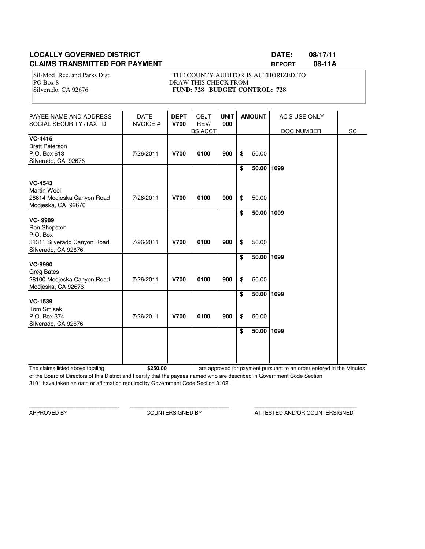#### **LOCALLY GOVERNED DISTRICT CONSUMING A RESIDENT CONSUMING A RESIDENT CONSUMING A RESIDENT CONSUMING A RESIDENT CLAIMS TRANSMITTED FOR PAYMENT <b>REPORT REPORT** 08-11A

Sil-Mod Rec. and Parks Dist. THE COUNTY AUDITOR IS AUTHORIZED TO PO Box 8 DRAW THIS CHECK FROM Silverado, CA 92676 **FUND: 728 BUDGET CONTROL: 728** 

| PAYEE NAME AND ADDRESS<br>SOCIAL SECURITY /TAX ID                                                | <b>DATE</b><br><b>INVOICE#</b> | <b>DEPT</b><br><b>V700</b> | <b>OBJT</b><br>REV/<br><b>BS ACCT</b> | <b>UNIT</b><br>900 |          | <b>AMOUNT</b>       | <b>AC'S USE ONLY</b><br>DOC NUMBER | SC |
|--------------------------------------------------------------------------------------------------|--------------------------------|----------------------------|---------------------------------------|--------------------|----------|---------------------|------------------------------------|----|
| <b>VC-4415</b><br><b>Brett Peterson</b><br>P.O. Box 613<br>Silverado, CA 92676                   | 7/26/2011                      | <b>V700</b>                | 0100                                  | 900                | \$       | 50.00               |                                    |    |
| <b>VC-4543</b><br><b>Martin Weel</b><br>28614 Modieska Canyon Road<br>Modjeska, CA 92676         | 7/26/2011                      | <b>V700</b>                | 0100                                  | 900                | \$<br>\$ | 50.00 1099<br>50.00 |                                    |    |
| <b>VC-9989</b><br>Ron Shepston<br>P.O. Box<br>31311 Silverado Canyon Road<br>Silverado, CA 92676 | 7/26/2011                      | <b>V700</b>                | 0100                                  | 900                | \$<br>\$ | 50.00 1099<br>50.00 |                                    |    |
| <b>VC-9990</b><br><b>Greg Bates</b><br>28100 Modjeska Canyon Road<br>Modjeska, CA 92676          | 7/26/2011                      | <b>V700</b>                | 0100                                  | 900                | \$<br>\$ | 50.00 1099<br>50.00 |                                    |    |
| <b>VC-1539</b><br><b>Tom Smisek</b><br>P.O. Box 374<br>Silverado, CA 92676                       | 7/26/2011                      | <b>V700</b>                | 0100                                  | 900                | \$<br>\$ | 50.00 1099<br>50.00 |                                    |    |
|                                                                                                  |                                |                            |                                       |                    | \$       | 50.00 1099          |                                    |    |

The claims listed above totaling **\$250.00** of the Board of Directors of this District and I certify that the payees named who are described in Government Code Section 3101 have taken an oath or affirmation required by Government Code Section 3102. are approved for payment pursuant to an order entered in the Minutes

\_\_\_\_\_\_\_\_\_\_\_\_\_\_\_\_\_\_\_\_\_\_\_\_\_\_\_\_\_\_ \_\_\_\_\_\_\_\_\_\_\_\_\_\_\_\_\_\_\_\_\_\_\_\_\_\_\_\_\_\_\_\_\_ \_\_\_\_\_\_\_\_\_\_\_\_\_\_\_\_\_\_\_\_\_\_\_\_\_\_\_\_\_\_\_\_\_\_

APPROVED BY COUNTERSIGNED BY ATTESTED AND/OR COUNTERSIGNED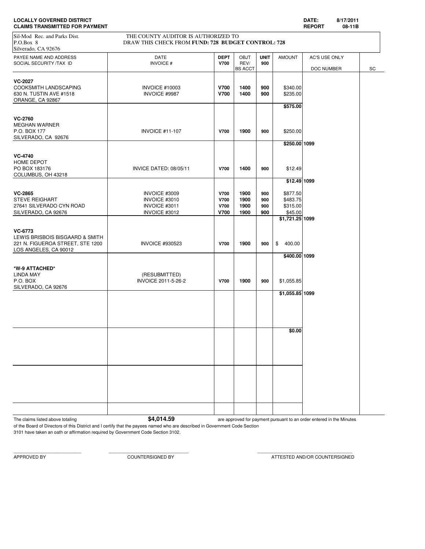| <b>LOCALLY GOVERNED DISTRICT</b>      | DATE:         | 8/17/2011 |
|---------------------------------------|---------------|-----------|
| <b>CLAIMS TRANSMITTED FOR PAYMENT</b> | <b>REPORT</b> | 08-11B    |

| <b>CLAIMS TRANSMITTED FOR PAYMENT</b>                                                                   |                                                                                           |                                     |                              |                          |                                             | <b>REPORT</b> | 08-11B |    |
|---------------------------------------------------------------------------------------------------------|-------------------------------------------------------------------------------------------|-------------------------------------|------------------------------|--------------------------|---------------------------------------------|---------------|--------|----|
| Sil-Mod Rec. and Parks Dist.<br>P.O.Box 8<br>Silverado, CA 92676                                        | THE COUNTY AUDITOR IS AUTHORIZED TO<br>DRAW THIS CHECK FROM FUND: 728 BUDGET CONTROL: 728 |                                     |                              |                          |                                             |               |        |    |
| PAYEE NAME AND ADDRESS<br>SOCIAL SECURITY /TAX ID                                                       | <b>DATE</b><br>INVOICE #                                                                  | <b>DEPT</b><br><b>V700</b>          | <b>OBJT</b><br>REV/          | <b>UNIT</b><br>900       | <b>AMOUNT</b>                               | AC'S USE ONLY |        |    |
|                                                                                                         |                                                                                           |                                     | <b>BS ACCT</b>               |                          |                                             | DOC NUMBER    |        | SC |
| <b>VC-2027</b><br>COOKSMITH LANDSCAPING<br>630 N. TUSTIN AVE #1518<br>ORANGE, CA 92867                  | <b>INVOICE #10003</b><br>INVOICE #9987                                                    | <b>V700</b><br><b>V700</b>          | 1400<br>1400                 | 900<br>900               | \$340.00<br>\$235.00                        |               |        |    |
|                                                                                                         |                                                                                           |                                     |                              |                          | \$575.00                                    |               |        |    |
| <b>VC-2760</b><br><b>MEGHAN WARNER</b><br>P.O. BOX 177<br>SILVERADO, CA 92676                           | <b>INVOICE #11-107</b>                                                                    | <b>V700</b>                         | 1900                         | 900                      | \$250.00                                    |               |        |    |
|                                                                                                         |                                                                                           |                                     |                              |                          | \$250.00 1099                               |               |        |    |
| <b>VC-4740</b><br>HOME DEPOT<br>PO BOX 183176<br>COLUMBUS, OH 43218                                     | INVICE DATED: 08/05/11                                                                    | <b>V700</b>                         | 1400                         | 900                      | \$12.49                                     |               |        |    |
|                                                                                                         |                                                                                           |                                     |                              |                          | \$12.49 1099                                |               |        |    |
| <b>VC-2865</b><br><b>STEVE REIGHART</b><br>27641 SILVERADO CYN ROAD<br>SILVERADO, CA 92676              | INVOICE #3009<br>INVOICE #3010<br>INVOICE #3011<br>INVOICE #3012                          | V700<br>V700<br>V700<br><b>V700</b> | 1900<br>1900<br>1900<br>1900 | 900<br>900<br>900<br>900 | \$877.50<br>\$483.75<br>\$315.00<br>\$45.00 |               |        |    |
|                                                                                                         |                                                                                           |                                     |                              |                          | \$1,721.25 1099                             |               |        |    |
| VC-6773<br>LEWIS BRISBOIS BISGAARD & SMITH<br>221 N. FIGUEROA STREET, STE 1200<br>LOS ANGELES, CA 90012 | <b>INVOICE #930523</b>                                                                    | <b>V700</b>                         | 1900                         | 900                      | $\$\$<br>400.00                             |               |        |    |
|                                                                                                         |                                                                                           |                                     |                              |                          | \$400.00 1099                               |               |        |    |
| *W-9 ATTACHED*<br><b>LINDA MAY</b><br>P.O. BOX<br>SILVERADO, CA 92676                                   | (RESUBMITTED)<br>INVOICE 2011-5-26-2                                                      | <b>V700</b>                         | 1900                         | 900                      | \$1,055.85                                  |               |        |    |
|                                                                                                         |                                                                                           |                                     |                              |                          | \$1,055.85 1099                             |               |        |    |
|                                                                                                         |                                                                                           |                                     |                              |                          |                                             |               |        |    |
|                                                                                                         |                                                                                           |                                     |                              |                          |                                             |               |        |    |
|                                                                                                         |                                                                                           |                                     |                              |                          | \$0.00                                      |               |        |    |
|                                                                                                         |                                                                                           |                                     |                              |                          |                                             |               |        |    |
|                                                                                                         |                                                                                           |                                     |                              |                          |                                             |               |        |    |
|                                                                                                         |                                                                                           |                                     |                              |                          |                                             |               |        |    |
|                                                                                                         |                                                                                           |                                     |                              |                          |                                             |               |        |    |
|                                                                                                         |                                                                                           |                                     |                              |                          |                                             |               |        |    |

The claims listed above totaling **64,014.59** are approved for payment pursuant to an order entered in the Minutes

of the Board of Directors of this District and I certify that the payees named who are described in Government Code Section 3101 have taken an oath or affirmation required by Government Code Section 3102.

APPROVED BY COUNTERSIGNED BY ATTESTED AND/OR COUNTERSIGNED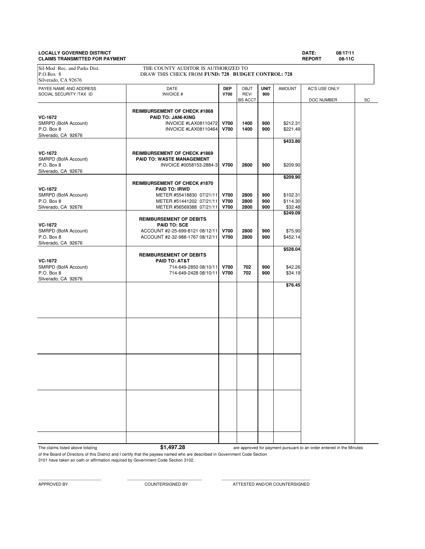# **LOCALLY GOVERNED DISTRICT DATE: 08/17/11**

**CLAIMS TRANSMITTED FOR PAYMENT REPORT 08-11C** PAYEE NAME AND ADDRESS **DATE DEP** OBJT **UNIT** AMOUNT AC'S USE ONLY SOCIAL SECURITY /TAX ID **INVOICE # V700** REV/ **900 REV/ 900 BS** ACCT DOC NUMBER SC **REIMBURSEMENT OF CHECK #1868 VC-1672 PAID TO: JANI-KING**<br>
SMRPD (BofA Account) **PAID TO: JANI-KING** SMRPD (BofA Account) **INVOICE #LAX08110472 V700 1400 900** \$212.31<br>P O Box 8 **INVOICE #LAX08110464 V700 1400 900** \$221.49 P.O. Box 8 **INVOICE #LAX08110464 V700** 1400 900 \$221.49 Silverado, CA 92676 **\$433.80 VC-1672 REIMBURSEMENT OF CHECK #1869**<br> **RAID TO: WASTE MANAGEMENT** SMRPD (BofA Account) **PAID TO: WASTE MANAGEMENT**<br>P.O. Box 8 **PAID TO: WASTE MANAGEMENT**<br>INVOICE #0058153-288 P.O. Box 8 INVOICE #0058153-2884-3 **V700 2800 900** \$209.90 Silverado, CA 92676 **\$209.90 REIMBURSEMENT OF CHECK #1870 VC-1672 PAID TO: IRWD** SMRPD (BofA Account) METER #55418830 07/21/11 **V700 2800 900 \$102.31**<br>P.O. Box 8 **D.O.** METER #51441202 07/21/11 **V700 2800 900** \$114.30 P.O. Box 8 METER #51441202 07/21/11 **V700 2800 900 \$114.30**<br>Silverado, CA 92676 METER #56569388 07/21/11 **V700** 2800 900 \$32.48 METER #56569388 07/21/11 **\$249.09 REIMBURSEMENT OF DEBITS VC-1672 PAID TO: SCE** SMRPD (BofA Account)  $ACC<sup>OUNT #2-25-699-8121 08/12/11</sub>$ **V700** $2800 900 $75.90<br>P.O. Box 8 452.14 ACCOUNT #2-32-988-1767 08/12/11$ **V700** $2800 900 $452.14$ </sup> P.O. Box 8 ACCOUNT #2-32-988-1767 08/12/11 **V700 2800 900** \$452.14 Silverado, CA 92676 **\$528.04 REIMBURSEMENT OF DEBITS VC-1672 PAID TO: AT&T** SMRPD (BofA Account) 2012 12:4649-2850 08/10/11 **1700 702 900 \$42.26**<br>P.O. Box 8 702 900 \$34.19 P.O. Box 8 714-649-2428 08/10/11 **V700 702 900** \$34.19 Silverado, CA 92676 **\$76.45** Sil-Mod Rec. and Parks Dist. THE COUNTY AUDITOR IS AUTHORIZED TO P.O.Box 8 DRAW THIS CHECK FROM **FUND: 728 BUDGET CONTROL: 728** Silverado, CA 92676

The claims listed above totaling **\$1,497.28** 

are approved for payment pursuant to an order entered in the Minutes

of the Board of Directors of this District and I certify that the payees named who are described in Government Code Section 3101 have taken an oath or affirmation required by Government Code Section 3102.

APPROVED BY COUNTERSIGNED BY ATTESTED AND/OR COUNTERSIGNED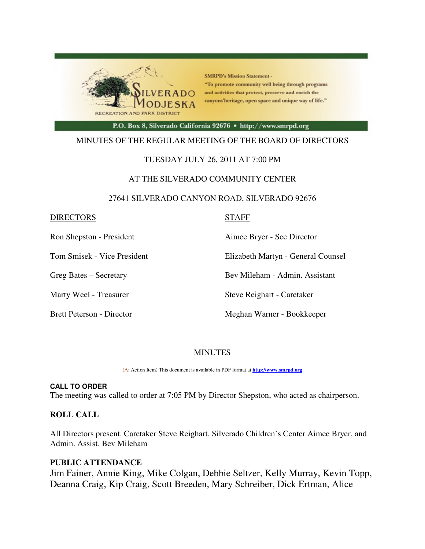

**SMRPD's Mission Statement -**"To promote community well being through programs and activities that protect, preserve and enrich the canyons'heritage, open space and unique way of life."

P.O. Box 8, Silverado California 92676 · http://www.smrpd.org

#### MINUTES OF THE REGULAR MEETING OF THE BOARD OF DIRECTORS

#### TUESDAY JULY 26, 2011 AT 7:00 PM

#### AT THE SILVERADO COMMUNITY CENTER

#### 27641 SILVERADO CANYON ROAD, SILVERADO 92676

| <b>DIRECTORS</b> |
|------------------|
|------------------|

#### **STAFF**

Ron Shepston - President **Aimee Bryer** - Scc Director

Tom Smisek - Vice President Elizabeth Martyn - General Counsel

Greg Bates – Secretary Bev Mileham - Admin. Assistant

Marty Weel - Treasurer Steve Reighart - Caretaker

Brett Peterson - Director Meghan Warner - Bookkeeper

#### MINUTES

(A: Action Item) This document is available in PDF format at **http://www.smrpd.org** 

#### **CALL TO ORDER**

The meeting was called to order at 7:05 PM by Director Shepston, who acted as chairperson.

#### **ROLL CALL**

All Directors present. Caretaker Steve Reighart, Silverado Children's Center Aimee Bryer, and Admin. Assist. Bev Mileham

#### **PUBLIC ATTENDANCE**

Jim Fainer, Annie King, Mike Colgan, Debbie Seltzer, Kelly Murray, Kevin Topp, Deanna Craig, Kip Craig, Scott Breeden, Mary Schreiber, Dick Ertman, Alice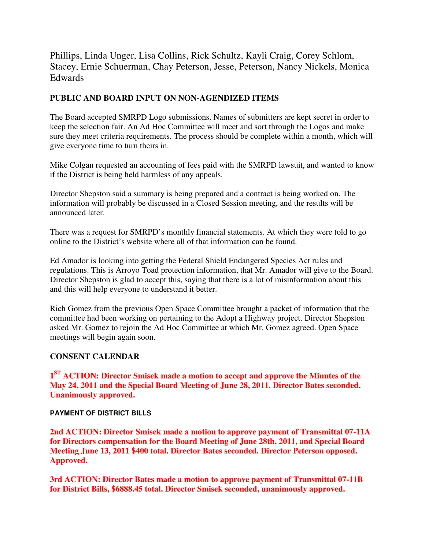Phillips, Linda Unger, Lisa Collins, Rick Schultz, Kayli Craig, Corey Schlom, Stacey, Ernie Schuerman, Chay Peterson, Jesse, Peterson, Nancy Nickels, Monica Edwards

## **PUBLIC AND BOARD INPUT ON NON-AGENDIZED ITEMS**

The Board accepted SMRPD Logo submissions. Names of submitters are kept secret in order to keep the selection fair. An Ad Hoc Committee will meet and sort through the Logos and make sure they meet criteria requirements. The process should be complete within a month, which will give everyone time to turn theirs in.

Mike Colgan requested an accounting of fees paid with the SMRPD lawsuit, and wanted to know if the District is being held harmless of any appeals.

Director Shepston said a summary is being prepared and a contract is being worked on. The information will probably be discussed in a Closed Session meeting, and the results will be announced later.

There was a request for SMRPD's monthly financial statements. At which they were told to go online to the District's website where all of that information can be found.

Ed Amador is looking into getting the Federal Shield Endangered Species Act rules and regulations. This is Arroyo Toad protection information, that Mr. Amador will give to the Board. Director Shepston is glad to accept this, saying that there is a lot of misinformation about this and this will help everyone to understand it better.

Rich Gomez from the previous Open Space Committee brought a packet of information that the committee had been working on pertaining to the Adopt a Highway project. Director Shepston asked Mr. Gomez to rejoin the Ad Hoc Committee at which Mr. Gomez agreed. Open Space meetings will begin again soon.

## **CONSENT CALENDAR**

**1 ST ACTION: Director Smisek made a motion to accept and approve the Minutes of the May 24, 2011 and the Special Board Meeting of June 28, 2011. Director Bates seconded. Unanimously approved.** 

#### **PAYMENT OF DISTRICT BILLS**

**2nd ACTION: Director Smisek made a motion to approve payment of Transmittal 07-11A for Directors compensation for the Board Meeting of June 28th, 2011, and Special Board Meeting June 13, 2011 \$400 total. Director Bates seconded. Director Peterson opposed. Approved.** 

**3rd ACTION: Director Bates made a motion to approve payment of Transmittal 07-11B for District Bills, \$6888.45 total. Director Smisek seconded, unanimously approved.**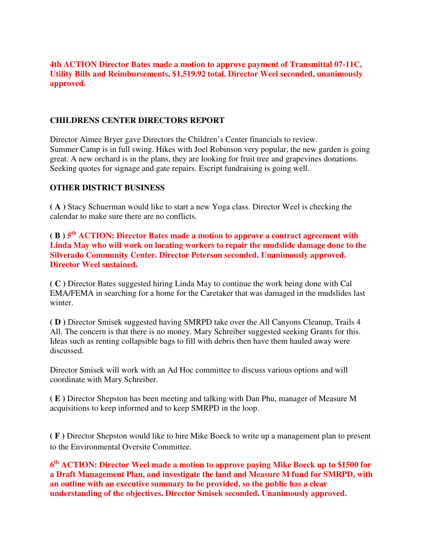### **4th ACTION Director Bates made a motion to approve payment of Transmittal 07-11C, Utility Bills and Reimbursements, \$1,519.92 total. Director Weel seconded, unanimously approved.**

### **CHILDRENS CENTER DIRECTORS REPORT**

Director Aimee Bryer gave Directors the Children's Center financials to review. Summer Camp is in full swing. Hikes with Joel Robinson very popular, the new garden is going great. A new orchard is in the plans, they are looking for fruit tree and grapevines donations. Seeking quotes for signage and gate repairs. Escript fundraising is going well.

#### **OTHER DISTRICT BUSINESS**

**( A )** Stacy Schuerman would like to start a new Yoga class. Director Weel is checking the calendar to make sure there are no conflicts.

**( B ) 5 th ACTION: Director Bates made a motion to approve a contract agreement with Linda May who will work on locating workers to repair the mudslide damage done to the Silverado Community Center. Director Peterson seconded. Unanimously approved. Director Weel sustained.**

**( C )** Director Bates suggested hiring Linda May to continue the work being done with Cal EMA/FEMA in searching for a home for the Caretaker that was damaged in the mudslides last winter.

**( D )** Director Smisek suggested having SMRPD take over the All Canyons Cleanup, Trails 4 All. The concern is that there is no money. Mary Schreiber suggested seeking Grants for this. Ideas such as renting collapsible bags to fill with debris then have them hauled away were discussed.

Director Smisek will work with an Ad Hoc committee to discuss various options and will coordinate with Mary Schreiber.

**( E )** Director Shepston has been meeting and talking with Dan Phu, manager of Measure M acquisitions to keep informed and to keep SMRPD in the loop.

**( F )** Director Shepston would like to hire Mike Boeck to write up a management plan to present to the Environmental Oversite Committee.

**6 th ACTION: Director Weel made a motion to approve paying Mike Boeck up to \$1500 for a Draft Management Plan, and investigate the land and Measure M fund for SMRPD, with an outline with an executive summary to be provided, so the public has a clear understanding of the objectives. Director Smisek seconded. Unanimously approved.**